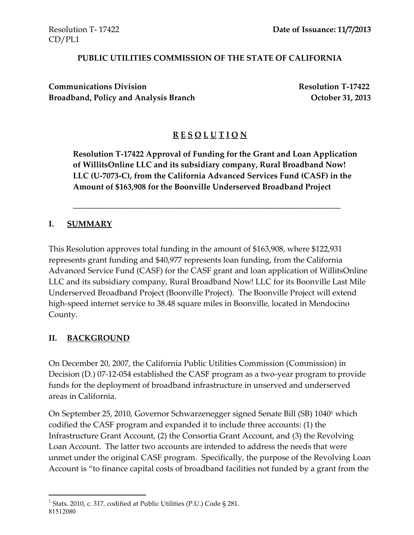#### **PUBLIC UTILITIES COMMISSION OF THE STATE OF CALIFORNIA**

**Communications Division Resolution T-17422 Broadband, Policy and Analysis Branch October 31, 2013**

# **R E S O L U T I O N**

**Resolution T-17422 Approval of Funding for the Grant and Loan Application of WillitsOnline LLC and its subsidiary company, Rural Broadband Now! LLC (U-7073-C), from the California Advanced Services Fund (CASF) in the Amount of \$163,908 for the Boonville Underserved Broadband Project**

\_\_\_\_\_\_\_\_\_\_\_\_\_\_\_\_\_\_\_\_\_\_\_\_\_\_\_\_\_\_\_\_\_\_\_\_\_\_\_\_\_\_\_\_\_\_\_\_\_\_\_\_\_\_\_\_\_\_\_\_\_\_\_\_\_\_

#### **I. SUMMARY**

This Resolution approves total funding in the amount of \$163,908, where \$122,931 represents grant funding and \$40,977 represents loan funding, from the California Advanced Service Fund (CASF) for the CASF grant and loan application of WillitsOnline LLC and its subsidiary company, Rural Broadband Now! LLC for its Boonville Last Mile Underserved Broadband Project (Boonville Project). The Boonville Project will extend high-speed internet service to 38.48 square miles in Boonville, located in Mendocino County.

### **II. BACKGROUND**

 $\overline{\phantom{a}}$ 

On December 20, 2007, the California Public Utilities Commission (Commission) in Decision (D.) 07-12-054 established the CASF program as a two-year program to provide funds for the deployment of broadband infrastructure in unserved and underserved areas in California.

On September 25, 2010, Governor Schwarzenegger signed Senate Bill (SB) 1040<sup>1</sup> which codified the CASF program and expanded it to include three accounts: (1) the Infrastructure Grant Account, (2) the Consortia Grant Account, and (3) the Revolving Loan Account. The latter two accounts are intended to address the needs that were unmet under the original CASF program. Specifically, the purpose of the Revolving Loan Account is "to finance capital costs of broadband facilities not funded by a grant from the

<sup>81512080</sup> <sup>1</sup> Stats. 2010, c. 317, codified at Public Utilities (P.U.) Code § 281.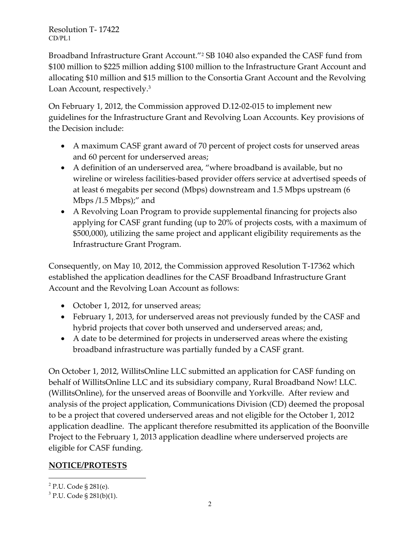Broadband Infrastructure Grant Account."<sup>2</sup> SB 1040 also expanded the CASF fund from \$100 million to \$225 million adding \$100 million to the Infrastructure Grant Account and allocating \$10 million and \$15 million to the Consortia Grant Account and the Revolving Loan Account, respectively.<sup>3</sup>

On February 1, 2012, the Commission approved D.12-02-015 to implement new guidelines for the Infrastructure Grant and Revolving Loan Accounts. Key provisions of the Decision include:

- A maximum CASF grant award of 70 percent of project costs for unserved areas and 60 percent for underserved areas;
- A definition of an underserved area, "where broadband is available, but no wireline or wireless facilities-based provider offers service at advertised speeds of at least 6 megabits per second (Mbps) downstream and 1.5 Mbps upstream (6 Mbps /1.5 Mbps);" and
- A Revolving Loan Program to provide supplemental financing for projects also applying for CASF grant funding (up to 20% of projects costs, with a maximum of \$500,000), utilizing the same project and applicant eligibility requirements as the Infrastructure Grant Program.

Consequently, on May 10, 2012, the Commission approved Resolution T-17362 which established the application deadlines for the CASF Broadband Infrastructure Grant Account and the Revolving Loan Account as follows:

- October 1, 2012, for unserved areas;
- February 1, 2013, for underserved areas not previously funded by the CASF and hybrid projects that cover both unserved and underserved areas; and,
- A date to be determined for projects in underserved areas where the existing broadband infrastructure was partially funded by a CASF grant.

On October 1, 2012, WillitsOnline LLC submitted an application for CASF funding on behalf of WillitsOnline LLC and its subsidiary company, Rural Broadband Now! LLC. (WillitsOnline), for the unserved areas of Boonville and Yorkville. After review and analysis of the project application, Communications Division (CD) deemed the proposal to be a project that covered underserved areas and not eligible for the October 1, 2012 application deadline. The applicant therefore resubmitted its application of the Boonville Project to the February 1, 2013 application deadline where underserved projects are eligible for CASF funding.

# **NOTICE/PROTESTS**

l

<sup>&</sup>lt;sup>2</sup> P.U. Code § 281(e).

<sup>&</sup>lt;sup>3</sup> P.U. Code § 281(b)(1).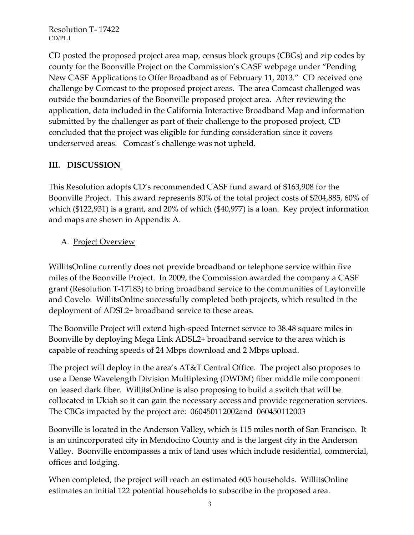CD posted the proposed project area map, census block groups (CBGs) and zip codes by county for the Boonville Project on the Commission's CASF webpage under "Pending New CASF Applications to Offer Broadband as of February 11, 2013." CD received one challenge by Comcast to the proposed project areas. The area Comcast challenged was outside the boundaries of the Boonville proposed project area. After reviewing the application, data included in the California Interactive Broadband Map and information submitted by the challenger as part of their challenge to the proposed project, CD concluded that the project was eligible for funding consideration since it covers underserved areas. Comcast's challenge was not upheld.

### **III. DISCUSSION**

This Resolution adopts CD's recommended CASF fund award of \$163,908 for the Boonville Project. This award represents 80% of the total project costs of \$204,885, 60% of which (\$122,931) is a grant, and 20% of which (\$40,977) is a loan. Key project information and maps are shown in Appendix A.

### A. Project Overview

WillitsOnline currently does not provide broadband or telephone service within five miles of the Boonville Project. In 2009, the Commission awarded the company a CASF grant (Resolution T-17183) to bring broadband service to the communities of Laytonville and Covelo. WillitsOnline successfully completed both projects, which resulted in the deployment of ADSL2+ broadband service to these areas.

The Boonville Project will extend high-speed Internet service to 38.48 square miles in Boonville by deploying Mega Link ADSL2+ broadband service to the area which is capable of reaching speeds of 24 Mbps download and 2 Mbps upload.

The project will deploy in the area's AT&T Central Office. The project also proposes to use a Dense Wavelength Division Multiplexing (DWDM) fiber middle mile component on leased dark fiber. WillitsOnline is also proposing to build a switch that will be collocated in Ukiah so it can gain the necessary access and provide regeneration services. The CBGs impacted by the project are: 060450112002and 060450112003

Boonville is located in the Anderson Valley, which is 115 miles north of San Francisco. It is an unincorporated city in Mendocino County and is the largest city in the Anderson Valley. Boonville encompasses a mix of land uses which include residential, commercial, offices and lodging.

When completed, the project will reach an estimated 605 households. WillitsOnline estimates an initial 122 potential households to subscribe in the proposed area.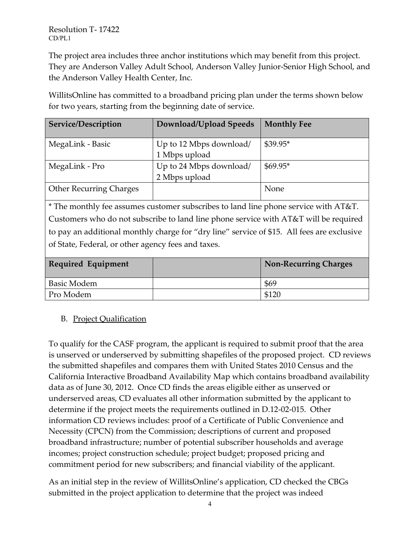The project area includes three anchor institutions which may benefit from this project. They are Anderson Valley Adult School, Anderson Valley Junior-Senior High School, and the Anderson Valley Health Center, Inc.

WillitsOnline has committed to a broadband pricing plan under the terms shown below for two years, starting from the beginning date of service.

| Service/Description            | Download/Upload Speeds  | <b>Monthly Fee</b> |
|--------------------------------|-------------------------|--------------------|
| MegaLink - Basic               | Up to 12 Mbps download/ | $$39.95*$          |
|                                | 1 Mbps upload           |                    |
| MegaLink - Pro                 | Up to 24 Mbps download/ | $$69.95*$          |
|                                | 2 Mbps upload           |                    |
| <b>Other Recurring Charges</b> |                         | None               |

\* The monthly fee assumes customer subscribes to land line phone service with AT&T. Customers who do not subscribe to land line phone service with AT&T will be required to pay an additional monthly charge for "dry line" service of \$15. All fees are exclusive of State, Federal, or other agency fees and taxes.

| <b>Required Equipment</b> | <b>Non-Recurring Charges</b> |
|---------------------------|------------------------------|
| Basic Modem               | \$69                         |
| Pro Modem                 |                              |

# B. Project Qualification

To qualify for the CASF program, the applicant is required to submit proof that the area is unserved or underserved by submitting shapefiles of the proposed project. CD reviews the submitted shapefiles and compares them with United States 2010 Census and the California Interactive Broadband Availability Map which contains broadband availability data as of June 30, 2012. Once CD finds the areas eligible either as unserved or underserved areas, CD evaluates all other information submitted by the applicant to determine if the project meets the requirements outlined in D.12-02-015. Other information CD reviews includes: proof of a Certificate of Public Convenience and Necessity (CPCN) from the Commission; descriptions of current and proposed broadband infrastructure; number of potential subscriber households and average incomes; project construction schedule; project budget; proposed pricing and commitment period for new subscribers; and financial viability of the applicant.

As an initial step in the review of WillitsOnline's application, CD checked the CBGs submitted in the project application to determine that the project was indeed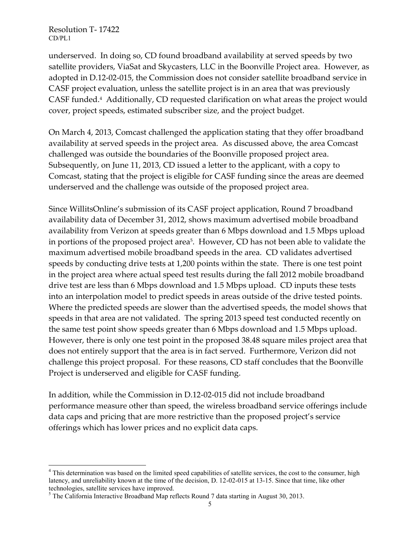$\overline{\phantom{a}}$ 

underserved. In doing so, CD found broadband availability at served speeds by two satellite providers, ViaSat and Skycasters, LLC in the Boonville Project area. However, as adopted in D.12-02-015, the Commission does not consider satellite broadband service in CASF project evaluation, unless the satellite project is in an area that was previously CASF funded.<sup>4</sup> Additionally, CD requested clarification on what areas the project would cover, project speeds, estimated subscriber size, and the project budget.

On March 4, 2013, Comcast challenged the application stating that they offer broadband availability at served speeds in the project area. As discussed above, the area Comcast challenged was outside the boundaries of the Boonville proposed project area. Subsequently, on June 11, 2013, CD issued a letter to the applicant, with a copy to Comcast, stating that the project is eligible for CASF funding since the areas are deemed underserved and the challenge was outside of the proposed project area.

Since WillitsOnline's submission of its CASF project application, Round 7 broadband availability data of December 31, 2012, shows maximum advertised mobile broadband availability from Verizon at speeds greater than 6 Mbps download and 1.5 Mbps upload in portions of the proposed project area<sup>5</sup> . However, CD has not been able to validate the maximum advertised mobile broadband speeds in the area. CD validates advertised speeds by conducting drive tests at 1,200 points within the state. There is one test point in the project area where actual speed test results during the fall 2012 mobile broadband drive test are less than 6 Mbps download and 1.5 Mbps upload. CD inputs these tests into an interpolation model to predict speeds in areas outside of the drive tested points. Where the predicted speeds are slower than the advertised speeds, the model shows that speeds in that area are not validated. The spring 2013 speed test conducted recently on the same test point show speeds greater than 6 Mbps download and 1.5 Mbps upload. However, there is only one test point in the proposed 38.48 square miles project area that does not entirely support that the area is in fact served. Furthermore, Verizon did not challenge this project proposal. For these reasons, CD staff concludes that the Boonville Project is underserved and eligible for CASF funding.

In addition, while the Commission in D.12-02-015 did not include broadband performance measure other than speed, the wireless broadband service offerings include data caps and pricing that are more restrictive than the proposed project's service offerings which has lower prices and no explicit data caps.

<sup>&</sup>lt;sup>4</sup> This determination was based on the limited speed capabilities of satellite services, the cost to the consumer, high latency, and unreliability known at the time of the decision, D. 12-02-015 at 13-15. Since that time, like other technologies, satellite services have improved.

 $<sup>5</sup>$  The California Interactive Broadband Map reflects Round 7 data starting in August 30, 2013.</sup>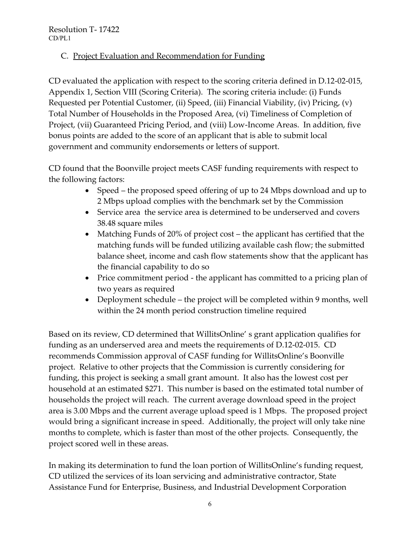### C. Project Evaluation and Recommendation for Funding

CD evaluated the application with respect to the scoring criteria defined in D.12-02-015, Appendix 1, Section VIII (Scoring Criteria). The scoring criteria include: (i) Funds Requested per Potential Customer, (ii) Speed, (iii) Financial Viability, (iv) Pricing, (v) Total Number of Households in the Proposed Area, (vi) Timeliness of Completion of Project, (vii) Guaranteed Pricing Period, and (viii) Low-Income Areas. In addition, five bonus points are added to the score of an applicant that is able to submit local government and community endorsements or letters of support.

CD found that the Boonville project meets CASF funding requirements with respect to the following factors:

- Speed the proposed speed offering of up to 24 Mbps download and up to 2 Mbps upload complies with the benchmark set by the Commission
- Service area the service area is determined to be underserved and covers 38.48 square miles
- Matching Funds of 20% of project cost the applicant has certified that the matching funds will be funded utilizing available cash flow; the submitted balance sheet, income and cash flow statements show that the applicant has the financial capability to do so
- Price commitment period the applicant has committed to a pricing plan of two years as required
- Deployment schedule the project will be completed within 9 months, well within the 24 month period construction timeline required

Based on its review, CD determined that WillitsOnline' s grant application qualifies for funding as an underserved area and meets the requirements of D.12-02-015. CD recommends Commission approval of CASF funding for WillitsOnline's Boonville project. Relative to other projects that the Commission is currently considering for funding, this project is seeking a small grant amount. It also has the lowest cost per household at an estimated \$271. This number is based on the estimated total number of households the project will reach. The current average download speed in the project area is 3.00 Mbps and the current average upload speed is 1 Mbps. The proposed project would bring a significant increase in speed. Additionally, the project will only take nine months to complete, which is faster than most of the other projects. Consequently, the project scored well in these areas.

In making its determination to fund the loan portion of WillitsOnline's funding request, CD utilized the services of its loan servicing and administrative contractor, State Assistance Fund for Enterprise, Business, and Industrial Development Corporation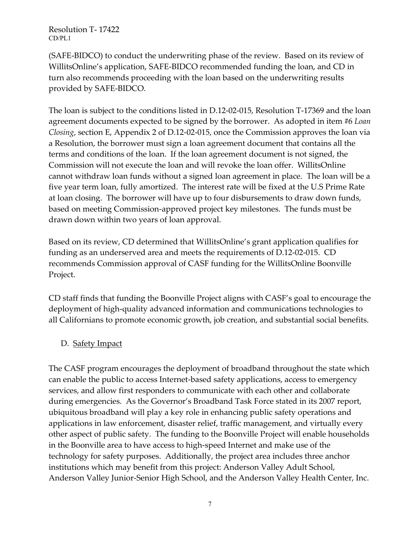(SAFE-BIDCO) to conduct the underwriting phase of the review. Based on its review of WillitsOnline's application, SAFE-BIDCO recommended funding the loan, and CD in turn also recommends proceeding with the loan based on the underwriting results provided by SAFE-BIDCO.

The loan is subject to the conditions listed in D.12-02-015, Resolution T-17369 and the loan agreement documents expected to be signed by the borrower. As adopted in item #6 *Loan Closing*, section E, Appendix 2 of D.12-02-015, once the Commission approves the loan via a Resolution, the borrower must sign a loan agreement document that contains all the terms and conditions of the loan. If the loan agreement document is not signed, the Commission will not execute the loan and will revoke the loan offer. WillitsOnline cannot withdraw loan funds without a signed loan agreement in place. The loan will be a five year term loan, fully amortized. The interest rate will be fixed at the U.S Prime Rate at loan closing. The borrower will have up to four disbursements to draw down funds, based on meeting Commission-approved project key milestones. The funds must be drawn down within two years of loan approval.

Based on its review, CD determined that WillitsOnline's grant application qualifies for funding as an underserved area and meets the requirements of D.12-02-015. CD recommends Commission approval of CASF funding for the WillitsOnline Boonville Project.

CD staff finds that funding the Boonville Project aligns with CASF's goal to encourage the deployment of high-quality advanced information and communications technologies to all Californians to promote economic growth, job creation, and substantial social benefits.

### D. Safety Impact

The CASF program encourages the deployment of broadband throughout the state which can enable the public to access Internet-based safety applications, access to emergency services, and allow first responders to communicate with each other and collaborate during emergencies. As the Governor's Broadband Task Force stated in its 2007 report, ubiquitous broadband will play a key role in enhancing public safety operations and applications in law enforcement, disaster relief, traffic management, and virtually every other aspect of public safety. The funding to the Boonville Project will enable households in the Boonville area to have access to high-speed Internet and make use of the technology for safety purposes. Additionally, the project area includes three anchor institutions which may benefit from this project: Anderson Valley Adult School, Anderson Valley Junior-Senior High School, and the Anderson Valley Health Center, Inc.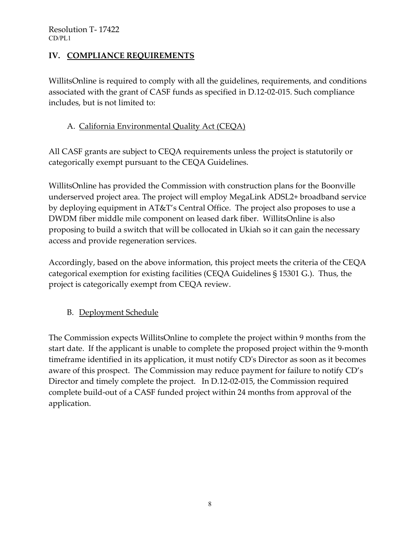### **IV. COMPLIANCE REQUIREMENTS**

WillitsOnline is required to comply with all the guidelines, requirements, and conditions associated with the grant of CASF funds as specified in D.12-02-015. Such compliance includes, but is not limited to:

### A. California Environmental Quality Act (CEQA)

All CASF grants are subject to CEQA requirements unless the project is statutorily or categorically exempt pursuant to the CEQA Guidelines.

WillitsOnline has provided the Commission with construction plans for the Boonville underserved project area. The project will employ MegaLink ADSL2+ broadband service by deploying equipment in AT&T's Central Office. The project also proposes to use a DWDM fiber middle mile component on leased dark fiber. WillitsOnline is also proposing to build a switch that will be collocated in Ukiah so it can gain the necessary access and provide regeneration services.

Accordingly, based on the above information, this project meets the criteria of the CEQA categorical exemption for existing facilities (CEQA Guidelines § 15301 G.). Thus, the project is categorically exempt from CEQA review.

### B. Deployment Schedule

The Commission expects WillitsOnline to complete the project within 9 months from the start date. If the applicant is unable to complete the proposed project within the 9-month timeframe identified in its application, it must notify CD's Director as soon as it becomes aware of this prospect. The Commission may reduce payment for failure to notify CD's Director and timely complete the project. In D.12-02-015, the Commission required complete build-out of a CASF funded project within 24 months from approval of the application.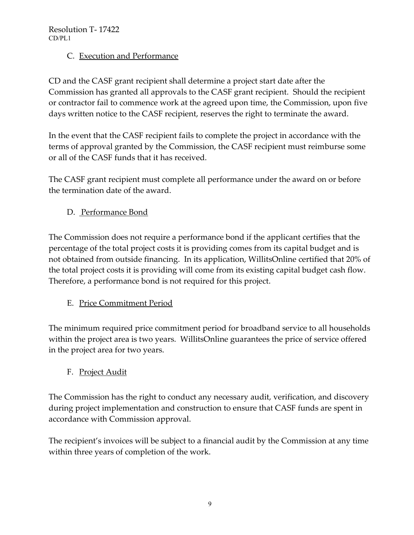### C. Execution and Performance

CD and the CASF grant recipient shall determine a project start date after the Commission has granted all approvals to the CASF grant recipient. Should the recipient or contractor fail to commence work at the agreed upon time, the Commission, upon five days written notice to the CASF recipient, reserves the right to terminate the award.

In the event that the CASF recipient fails to complete the project in accordance with the terms of approval granted by the Commission, the CASF recipient must reimburse some or all of the CASF funds that it has received.

The CASF grant recipient must complete all performance under the award on or before the termination date of the award.

D. Performance Bond

The Commission does not require a performance bond if the applicant certifies that the percentage of the total project costs it is providing comes from its capital budget and is not obtained from outside financing. In its application, WillitsOnline certified that 20% of the total project costs it is providing will come from its existing capital budget cash flow. Therefore, a performance bond is not required for this project.

# E. Price Commitment Period

The minimum required price commitment period for broadband service to all households within the project area is two years. WillitsOnline guarantees the price of service offered in the project area for two years.

### F. Project Audit

The Commission has the right to conduct any necessary audit, verification, and discovery during project implementation and construction to ensure that CASF funds are spent in accordance with Commission approval.

The recipient's invoices will be subject to a financial audit by the Commission at any time within three years of completion of the work.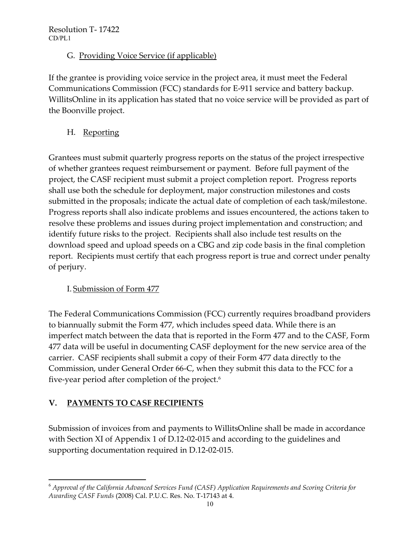### G. Providing Voice Service (if applicable)

If the grantee is providing voice service in the project area, it must meet the Federal Communications Commission (FCC) standards for E-911 service and battery backup. WillitsOnline in its application has stated that no voice service will be provided as part of the Boonville project.

H. Reporting

Grantees must submit quarterly progress reports on the status of the project irrespective of whether grantees request reimbursement or payment. Before full payment of the project, the CASF recipient must submit a project completion report. Progress reports shall use both the schedule for deployment, major construction milestones and costs submitted in the proposals; indicate the actual date of completion of each task/milestone. Progress reports shall also indicate problems and issues encountered, the actions taken to resolve these problems and issues during project implementation and construction; and identify future risks to the project. Recipients shall also include test results on the download speed and upload speeds on a CBG and zip code basis in the final completion report. Recipients must certify that each progress report is true and correct under penalty of perjury.

# I. Submission of Form 477

The Federal Communications Commission (FCC) currently requires broadband providers to biannually submit the Form 477, which includes speed data. While there is an imperfect match between the data that is reported in the Form 477 and to the CASF, Form 477 data will be useful in documenting CASF deployment for the new service area of the carrier. CASF recipients shall submit a copy of their Form 477 data directly to the Commission, under General Order 66-C, when they submit this data to the FCC for a five-year period after completion of the project.<sup>6</sup>

# **V. PAYMENTS TO CASF RECIPIENTS**

Submission of invoices from and payments to WillitsOnline shall be made in accordance with Section XI of Appendix 1 of D.12-02-015 and according to the guidelines and supporting documentation required in D.12-02-015.

 $\overline{\phantom{a}}$ <sup>6</sup> *Approval of the California Advanced Services Fund (CASF) Application Requirements and Scoring Criteria for Awarding CASF Funds* (2008) Cal. P.U.C. Res. No. T-17143 at 4.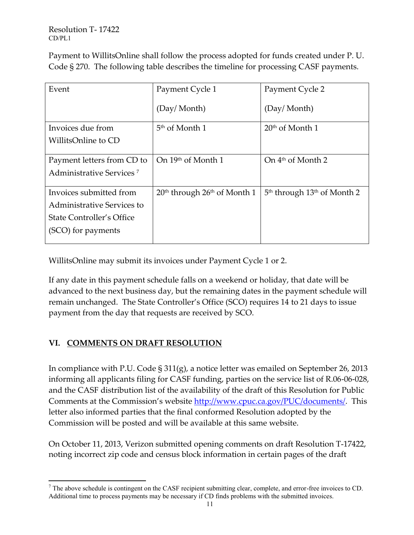Payment to WillitsOnline shall follow the process adopted for funds created under P. U. Code § 270. The following table describes the timeline for processing CASF payments.

| Event                                | Payment Cycle 1                                      | Payment Cycle 2                 |
|--------------------------------------|------------------------------------------------------|---------------------------------|
|                                      |                                                      |                                 |
|                                      | (Day/Month)                                          | (Day/Month)                     |
|                                      |                                                      |                                 |
| Invoices due from                    | 5 <sup>th</sup> of Month 1                           | $20th$ of Month 1               |
| WillitsOnline to CD                  |                                                      |                                 |
|                                      |                                                      |                                 |
| Payment letters from CD to           | On 19th of Month 1                                   | On $4th$ of Month 2             |
| Administrative Services <sup>7</sup> |                                                      |                                 |
|                                      |                                                      |                                 |
| Invoices submitted from              | 20 <sup>th</sup> through 26 <sup>th</sup> of Month 1 | $5th$ through $13th$ of Month 2 |
| Administrative Services to           |                                                      |                                 |
| State Controller's Office            |                                                      |                                 |
| (SCO) for payments                   |                                                      |                                 |
|                                      |                                                      |                                 |

WillitsOnline may submit its invoices under Payment Cycle 1 or 2.

If any date in this payment schedule falls on a weekend or holiday, that date will be advanced to the next business day, but the remaining dates in the payment schedule will remain unchanged. The State Controller's Office (SCO) requires 14 to 21 days to issue payment from the day that requests are received by SCO.

### **VI. COMMENTS ON DRAFT RESOLUTION**

In compliance with P.U. Code § 311(g), a notice letter was emailed on September 26, 2013 informing all applicants filing for CASF funding, parties on the service list of R.06-06-028, and the CASF distribution list of the availability of the draft of this Resolution for Public Comments at the Commission's website [http://www.cpuc.ca.gov/PUC/documents/.](http://www.cpuc.ca.gov/PUC/documents/) This letter also informed parties that the final conformed Resolution adopted by the Commission will be posted and will be available at this same website.

On October 11, 2013, Verizon submitted opening comments on draft Resolution T-17422, noting incorrect zip code and census block information in certain pages of the draft

 $\overline{\phantom{a}}$  $<sup>7</sup>$  The above schedule is contingent on the CASF recipient submitting clear, complete, and error-free invoices to CD.</sup> Additional time to process payments may be necessary if CD finds problems with the submitted invoices.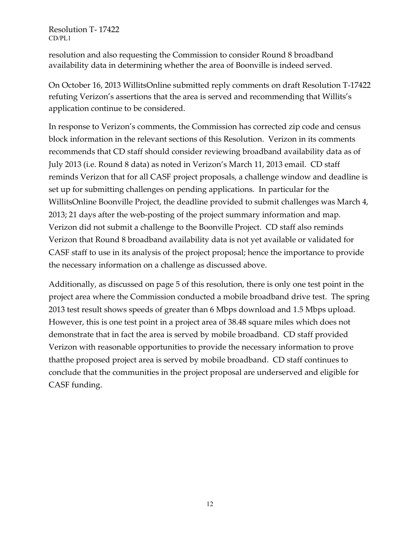resolution and also requesting the Commission to consider Round 8 broadband availability data in determining whether the area of Boonville is indeed served.

On October 16, 2013 WillitsOnline submitted reply comments on draft Resolution T-17422 refuting Verizon's assertions that the area is served and recommending that Willits's application continue to be considered.

In response to Verizon's comments, the Commission has corrected zip code and census block information in the relevant sections of this Resolution. Verizon in its comments recommends that CD staff should consider reviewing broadband availability data as of July 2013 (i.e. Round 8 data) as noted in Verizon's March 11, 2013 email. CD staff reminds Verizon that for all CASF project proposals, a challenge window and deadline is set up for submitting challenges on pending applications. In particular for the WillitsOnline Boonville Project, the deadline provided to submit challenges was March 4, 2013; 21 days after the web-posting of the project summary information and map. Verizon did not submit a challenge to the Boonville Project. CD staff also reminds Verizon that Round 8 broadband availability data is not yet available or validated for CASF staff to use in its analysis of the project proposal; hence the importance to provide the necessary information on a challenge as discussed above.

Additionally, as discussed on page 5 of this resolution, there is only one test point in the project area where the Commission conducted a mobile broadband drive test. The spring 2013 test result shows speeds of greater than 6 Mbps download and 1.5 Mbps upload. However, this is one test point in a project area of 38.48 square miles which does not demonstrate that in fact the area is served by mobile broadband. CD staff provided Verizon with reasonable opportunities to provide the necessary information to prove thatthe proposed project area is served by mobile broadband. CD staff continues to conclude that the communities in the project proposal are underserved and eligible for CASF funding.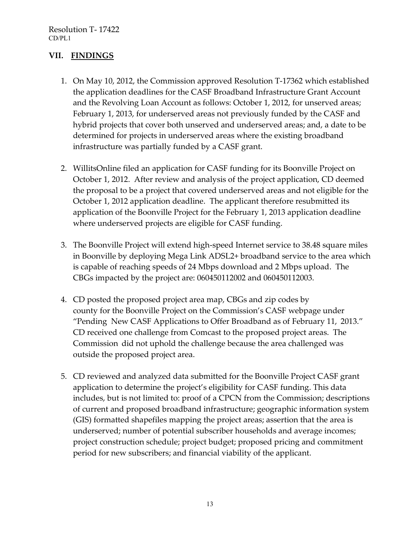### **VII. FINDINGS**

- 1. On May 10, 2012, the Commission approved Resolution T-17362 which established the application deadlines for the CASF Broadband Infrastructure Grant Account and the Revolving Loan Account as follows: October 1, 2012, for unserved areas; February 1, 2013, for underserved areas not previously funded by the CASF and hybrid projects that cover both unserved and underserved areas; and, a date to be determined for projects in underserved areas where the existing broadband infrastructure was partially funded by a CASF grant.
- 2. WillitsOnline filed an application for CASF funding for its Boonville Project on October 1, 2012. After review and analysis of the project application, CD deemed the proposal to be a project that covered underserved areas and not eligible for the October 1, 2012 application deadline. The applicant therefore resubmitted its application of the Boonville Project for the February 1, 2013 application deadline where underserved projects are eligible for CASF funding.
- 3. The Boonville Project will extend high-speed Internet service to 38.48 square miles in Boonville by deploying Mega Link ADSL2+ broadband service to the area which is capable of reaching speeds of 24 Mbps download and 2 Mbps upload. The CBGs impacted by the project are: 060450112002 and 060450112003.
- 4. CD posted the proposed project area map, CBGs and zip codes by county for the Boonville Project on the Commission's CASF webpage under "Pending New CASF Applications to Offer Broadband as of February 11, 2013." CD received one challenge from Comcast to the proposed project areas. The Commission did not uphold the challenge because the area challenged was outside the proposed project area.
- 5. CD reviewed and analyzed data submitted for the Boonville Project CASF grant application to determine the project's eligibility for CASF funding. This data includes, but is not limited to: proof of a CPCN from the Commission; descriptions of current and proposed broadband infrastructure; geographic information system (GIS) formatted shapefiles mapping the project areas; assertion that the area is underserved; number of potential subscriber households and average incomes; project construction schedule; project budget; proposed pricing and commitment period for new subscribers; and financial viability of the applicant.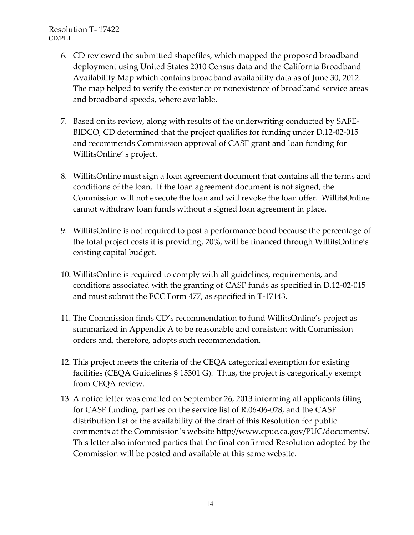- 6. CD reviewed the submitted shapefiles, which mapped the proposed broadband deployment using United States 2010 Census data and the California Broadband Availability Map which contains broadband availability data as of June 30, 2012. The map helped to verify the existence or nonexistence of broadband service areas and broadband speeds, where available.
- 7. Based on its review, along with results of the underwriting conducted by SAFE-BIDCO, CD determined that the project qualifies for funding under D.12-02-015 and recommends Commission approval of CASF grant and loan funding for WillitsOnline' s project.
- 8. WillitsOnline must sign a loan agreement document that contains all the terms and conditions of the loan. If the loan agreement document is not signed, the Commission will not execute the loan and will revoke the loan offer. WillitsOnline cannot withdraw loan funds without a signed loan agreement in place.
- 9. WillitsOnline is not required to post a performance bond because the percentage of the total project costs it is providing, 20%, will be financed through WillitsOnline's existing capital budget.
- 10. WillitsOnline is required to comply with all guidelines, requirements, and conditions associated with the granting of CASF funds as specified in D.12-02-015 and must submit the FCC Form 477, as specified in T-17143.
- 11. The Commission finds CD's recommendation to fund WillitsOnline's project as summarized in Appendix A to be reasonable and consistent with Commission orders and, therefore, adopts such recommendation.
- 12. This project meets the criteria of the CEQA categorical exemption for existing facilities (CEQA Guidelines § 15301 G). Thus, the project is categorically exempt from CEQA review.
- 13. A notice letter was emailed on September 26, 2013 informing all applicants filing for CASF funding, parties on the service list of R.06-06-028, and the CASF distribution list of the availability of the draft of this Resolution for public comments at the Commission's website [http://www.cpuc.ca.gov/PUC/documents/.](http://www.cpuc.ca.gov/PUC/documents/) This letter also informed parties that the final confirmed Resolution adopted by the Commission will be posted and available at this same website.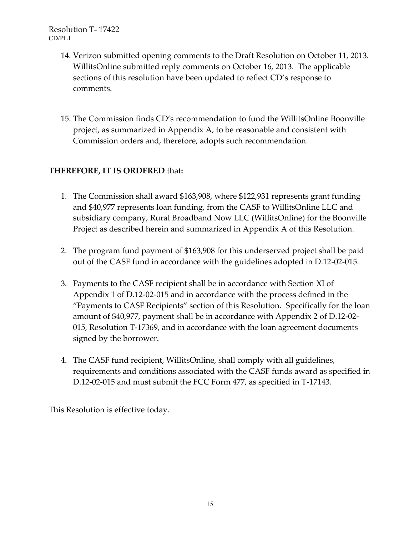- 14. Verizon submitted opening comments to the Draft Resolution on October 11, 2013. WillitsOnline submitted reply comments on October 16, 2013. The applicable sections of this resolution have been updated to reflect CD's response to comments.
- 15. The Commission finds CD's recommendation to fund the WillitsOnline Boonville project, as summarized in Appendix A, to be reasonable and consistent with Commission orders and, therefore, adopts such recommendation.

#### **THEREFORE, IT IS ORDERED** that**:**

- 1. The Commission shall award \$163,908, where \$122,931 represents grant funding and \$40,977 represents loan funding, from the CASF to WillitsOnline LLC and subsidiary company, Rural Broadband Now LLC (WillitsOnline) for the Boonville Project as described herein and summarized in Appendix A of this Resolution.
- 2. The program fund payment of \$163,908 for this underserved project shall be paid out of the CASF fund in accordance with the guidelines adopted in D.12-02-015.
- 3. Payments to the CASF recipient shall be in accordance with Section XI of Appendix 1 of D.12-02-015 and in accordance with the process defined in the "Payments to CASF Recipients" section of this Resolution. Specifically for the loan amount of \$40,977, payment shall be in accordance with Appendix 2 of D.12-02- 015, Resolution T-17369, and in accordance with the loan agreement documents signed by the borrower.
- 4. The CASF fund recipient, WillitsOnline, shall comply with all guidelines, requirements and conditions associated with the CASF funds award as specified in D.12-02-015 and must submit the FCC Form 477, as specified in T-17143.

This Resolution is effective today.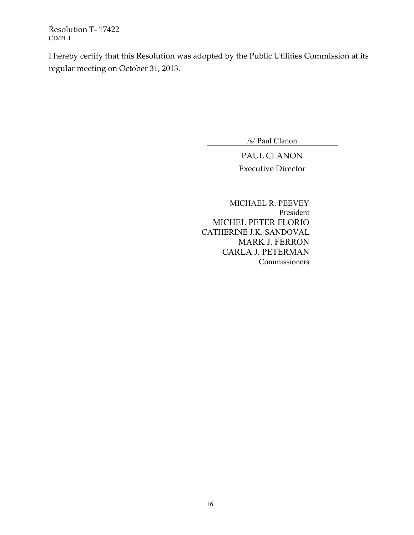I hereby certify that this Resolution was adopted by the Public Utilities Commission at its regular meeting on October 31, 2013.

/s/ Paul Clanon

PAUL CLANON Executive Director

 MICHAEL R. PEEVEY President MICHEL PETER FLORIO CATHERINE J.K. SANDOVAL MARK J. FERRON CARLA J. PETERMAN Commissioners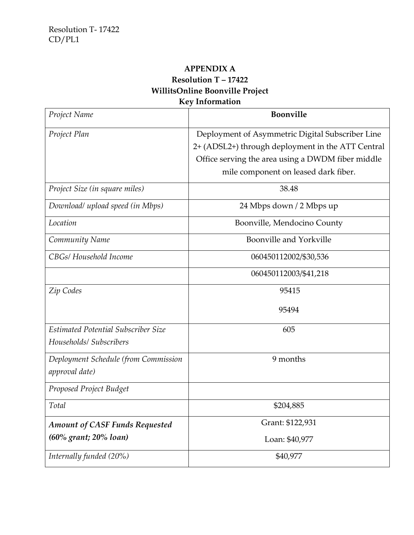# **APPENDIX A Resolution T – 17422 WillitsOnline Boonville Project Key Information**

| Project Name                          | <b>Boonville</b>                                  |
|---------------------------------------|---------------------------------------------------|
| Project Plan                          | Deployment of Asymmetric Digital Subscriber Line  |
|                                       | 2+ (ADSL2+) through deployment in the ATT Central |
|                                       | Office serving the area using a DWDM fiber middle |
|                                       | mile component on leased dark fiber.              |
| Project Size (in square miles)        | 38.48                                             |
| Download/ upload speed (in Mbps)      | 24 Mbps down / 2 Mbps up                          |
| Location                              | Boonville, Mendocino County                       |
| Community Name                        | Boonville and Yorkville                           |
| CBGs/ Household Income                | 060450112002/\$30,536                             |
|                                       | 060450112003/\$41,218                             |
| Zip Codes                             | 95415                                             |
|                                       | 95494                                             |
| Estimated Potential Subscriber Size   | 605                                               |
| Households/ Subscribers               |                                                   |
| Deployment Schedule (from Commission  | 9 months                                          |
| approval date)                        |                                                   |
| Proposed Project Budget               |                                                   |
| Total                                 | \$204,885                                         |
| <b>Amount of CASF Funds Requested</b> | Grant: \$122,931                                  |
| (60% grant; 20% loan)                 | Loan: \$40,977                                    |
| Internally funded (20%)               | \$40,977                                          |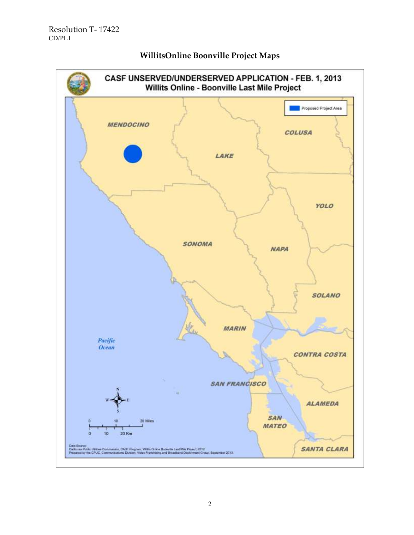

#### **WillitsOnline Boonville Project Maps**